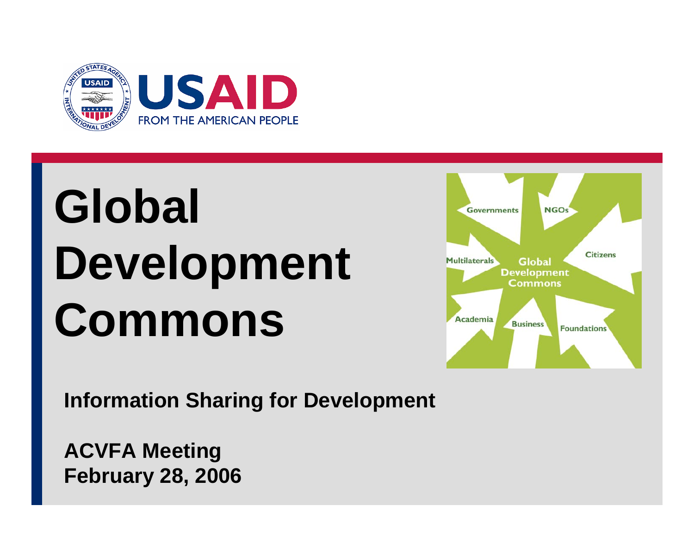

# **Global Development Commons**



**Information Sharing for Development** 

**ACVFA Meeting February 28, 2006**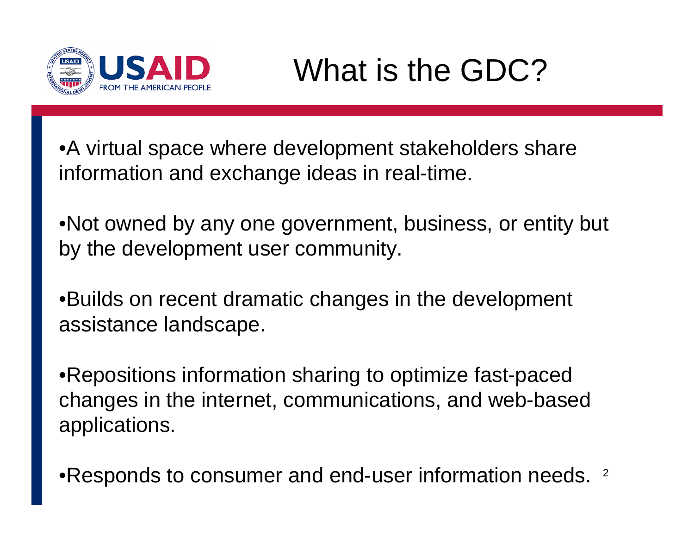

•A virtual space where development stakeholders share information and exchange ideas in real-time.

•Not owned by any one government, business, or entity but by the development user community.

•Builds on recent dramatic changes in the development assistance landscape.

•Repositions information sharing to optimize fast-paced changes in the internet, communications, and web-based applications.

2 •Responds to consumer and end-user information needs.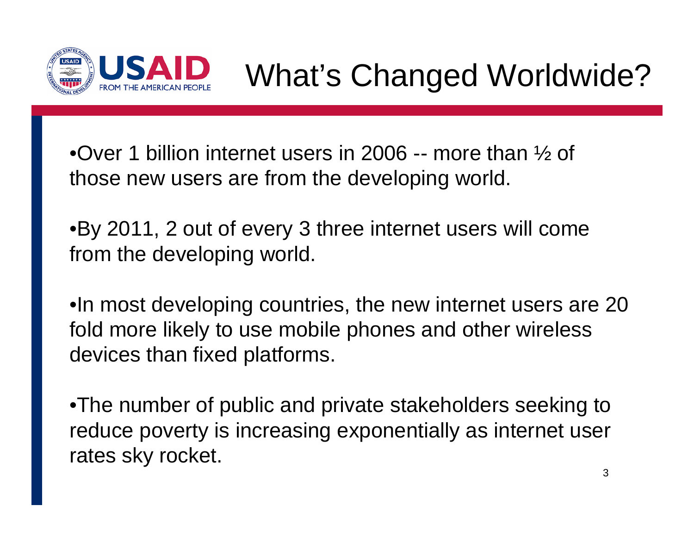

•Over 1 billion internet users in 2006 -- more than ½ of those new users are from the developing world.

•By 2011, 2 out of every 3 three internet users will come from the developing world.

•In most developing countries, the new internet users are 20 fold more likely to use mobile phones and other wireless devices than fixed platforms.

•The number of public and private stakeholders seeking to reduce poverty is increasing exponentially as internet user rates sky rocket.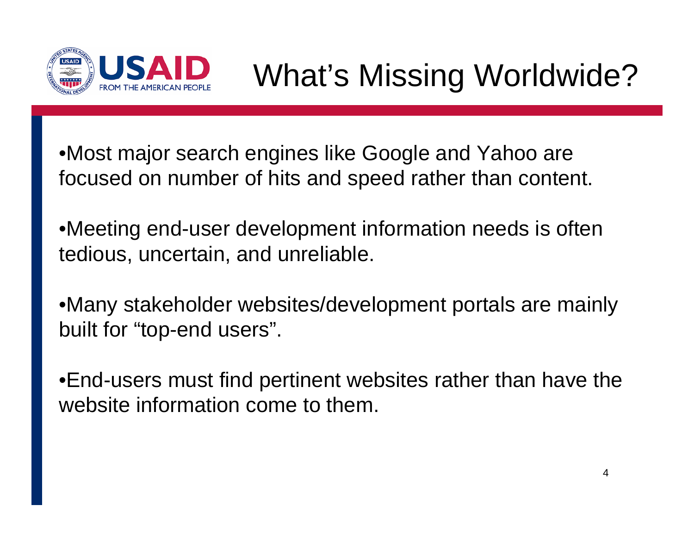

•Most major search engines like Google and Yahoo are focused on number of hits and speed rather than content.

•Meeting end-user development information needs is often tedious, uncertain, and unreliable.

•Many stakeholder websites/development portals are mainly built for "top-end users".

•End-users must find pertinent websites rather than have the website information come to them.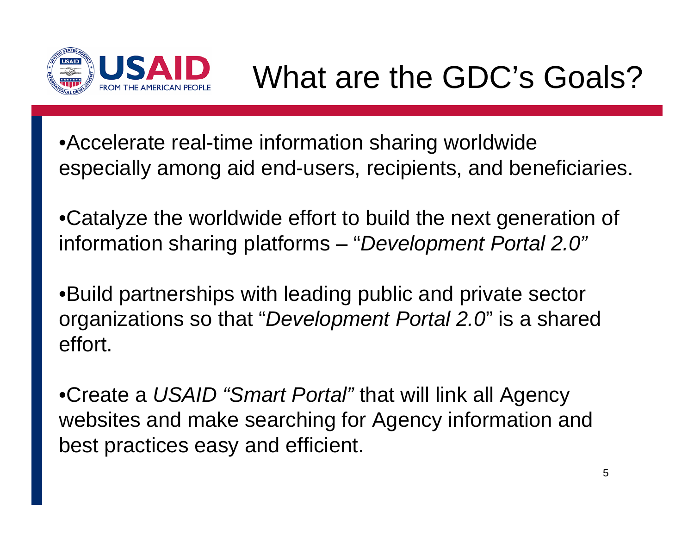

•Accelerate real-time information sharing worldwide especially among aid end-users, recipients, and beneficiaries.

•Catalyze the worldwide effort to build the next generation of information sharing platforms – "*Development Portal 2.0"*

•Build partnerships with leading public and private sector organizations so that "*Development Portal 2.0*" is a shared effort.

•Create a *USAID "Smart Portal"* that will link all Agency websites and make searching for Agency information and best practices easy and efficient.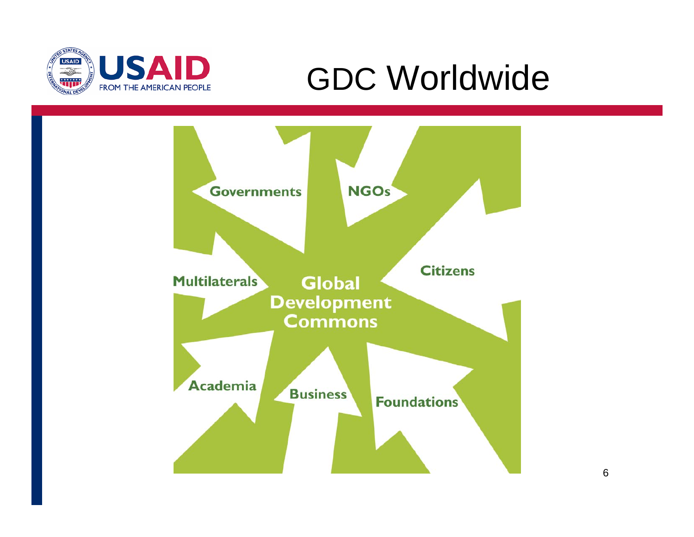

## GDC Worldwide

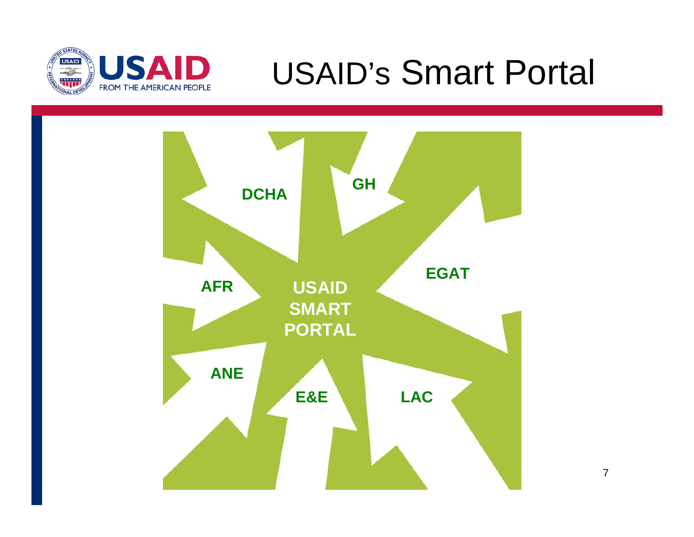

## USAID's Smart Portal



7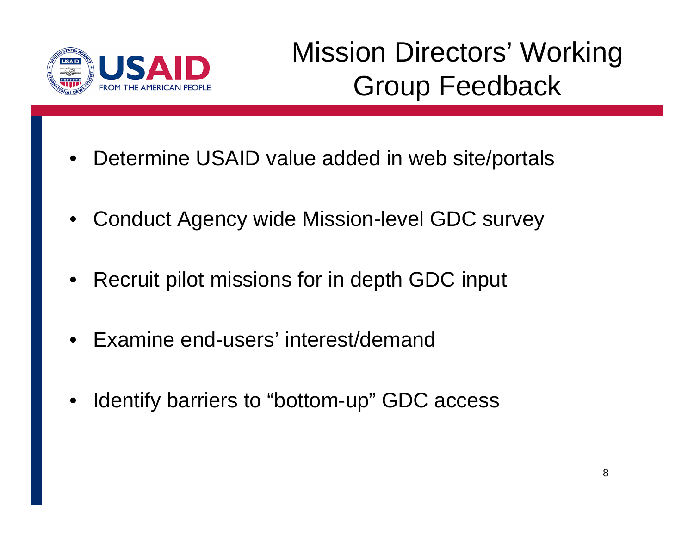

#### Mission Directors' Working Group Feedback

- •Determine USAID value added in web site/portals
- •Conduct Agency wide Mission-level GDC survey
- •Recruit pilot missions for in depth GDC input
- Examine end-users' interest/demand
- •Identify barriers to "bottom-up" GDC access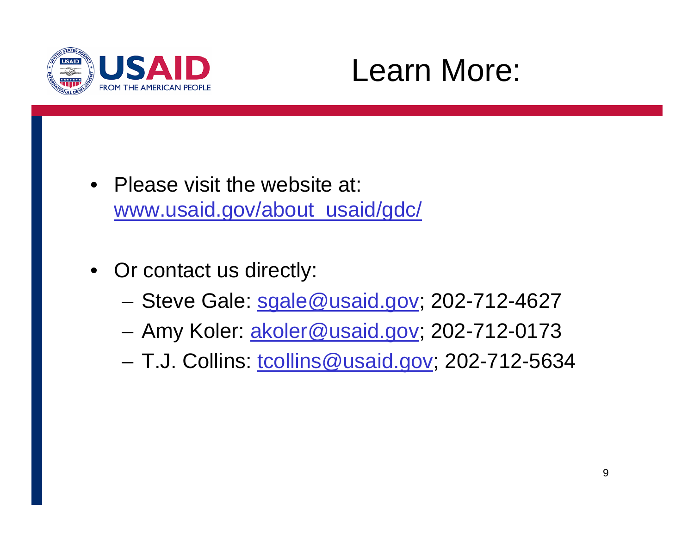



- Please visit the website at: www.usaid.gov/about\_usaid/gdc/
- Or contact us directly:
	- Steve Gale: sgale@usaid.gov; 202-712-4627
	- Amy Koler: <u>akoler@usaid.gov;</u> 202-712-0173
	- T.J. Collins: <u>tcollins@usaid.gov;</u> 202-712-5634